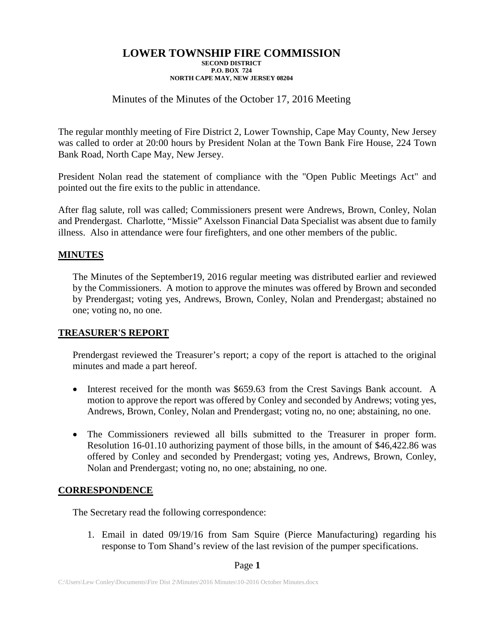# Minutes of the Minutes of the October 17, 2016 Meeting

The regular monthly meeting of Fire District 2, Lower Township, Cape May County, New Jersey was called to order at 20:00 hours by President Nolan at the Town Bank Fire House, 224 Town Bank Road, North Cape May, New Jersey.

President Nolan read the statement of compliance with the "Open Public Meetings Act" and pointed out the fire exits to the public in attendance.

After flag salute, roll was called; Commissioners present were Andrews, Brown, Conley, Nolan and Prendergast. Charlotte, "Missie" Axelsson Financial Data Specialist was absent due to family illness. Also in attendance were four firefighters, and one other members of the public.

# **MINUTES**

The Minutes of the September19, 2016 regular meeting was distributed earlier and reviewed by the Commissioners. A motion to approve the minutes was offered by Brown and seconded by Prendergast; voting yes, Andrews, Brown, Conley, Nolan and Prendergast; abstained no one; voting no, no one.

## **TREASURER'S REPORT**

Prendergast reviewed the Treasurer's report; a copy of the report is attached to the original minutes and made a part hereof.

- Interest received for the month was \$659.63 from the Crest Savings Bank account. A motion to approve the report was offered by Conley and seconded by Andrews; voting yes, Andrews, Brown, Conley, Nolan and Prendergast; voting no, no one; abstaining, no one.
- The Commissioners reviewed all bills submitted to the Treasurer in proper form. Resolution 16-01.10 authorizing payment of those bills, in the amount of \$46,422.86 was offered by Conley and seconded by Prendergast; voting yes, Andrews, Brown, Conley, Nolan and Prendergast; voting no, no one; abstaining, no one.

## **CORRESPONDENCE**

The Secretary read the following correspondence:

1. Email in dated 09/19/16 from Sam Squire (Pierce Manufacturing) regarding his response to Tom Shand's review of the last revision of the pumper specifications.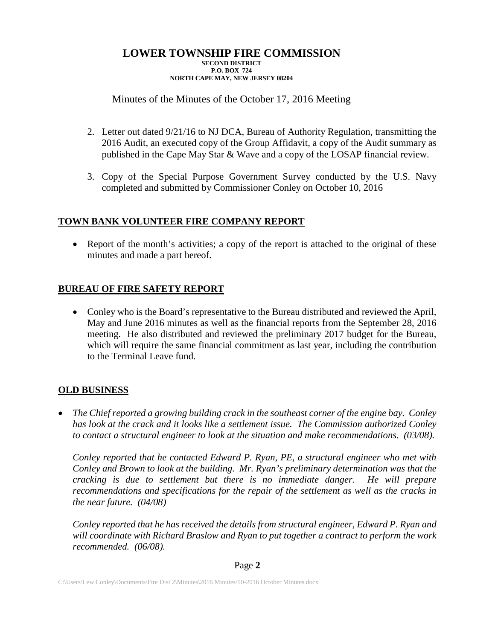# Minutes of the Minutes of the October 17, 2016 Meeting

- 2. Letter out dated 9/21/16 to NJ DCA, Bureau of Authority Regulation, transmitting the 2016 Audit, an executed copy of the Group Affidavit, a copy of the Audit summary as published in the Cape May Star & Wave and a copy of the LOSAP financial review.
- 3. Copy of the Special Purpose Government Survey conducted by the U.S. Navy completed and submitted by Commissioner Conley on October 10, 2016

# **TOWN BANK VOLUNTEER FIRE COMPANY REPORT**

• Report of the month's activities; a copy of the report is attached to the original of these minutes and made a part hereof.

# **BUREAU OF FIRE SAFETY REPORT**

• Conley who is the Board's representative to the Bureau distributed and reviewed the April, May and June 2016 minutes as well as the financial reports from the September 28, 2016 meeting. He also distributed and reviewed the preliminary 2017 budget for the Bureau, which will require the same financial commitment as last year, including the contribution to the Terminal Leave fund.

## **OLD BUSINESS**

• *The Chief reported a growing building crack in the southeast corner of the engine bay. Conley has look at the crack and it looks like a settlement issue. The Commission authorized Conley to contact a structural engineer to look at the situation and make recommendations. (03/08).*

*Conley reported that he contacted Edward P. Ryan, PE, a structural engineer who met with Conley and Brown to look at the building. Mr. Ryan's preliminary determination was that the cracking is due to settlement but there is no immediate danger. He will prepare recommendations and specifications for the repair of the settlement as well as the cracks in the near future. (04/08)*

*Conley reported that he has received the details from structural engineer, Edward P. Ryan and will coordinate with Richard Braslow and Ryan to put together a contract to perform the work recommended. (06/08).*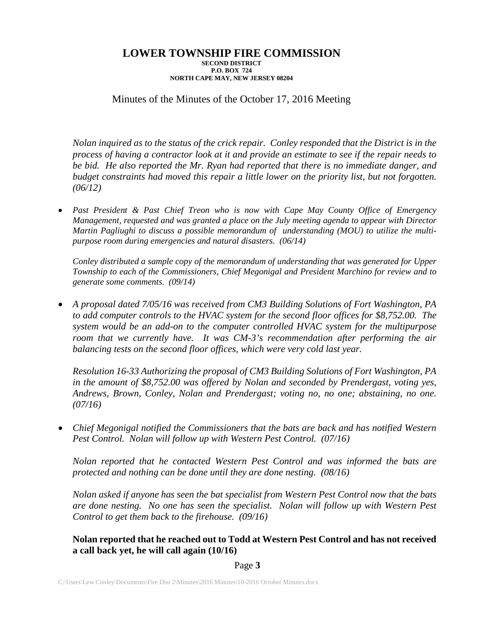# Minutes of the Minutes of the October 17, 2016 Meeting

*Nolan inquired as to the status of the crick repair. Conley responded that the District is in the process of having a contractor look at it and provide an estimate to see if the repair needs to be bid. He also reported the Mr. Ryan had reported that there is no immediate danger, and budget constraints had moved this repair a little lower on the priority list, but not forgotten. (06/12)*

• *Past President & Past Chief Treon who is now with Cape May County Office of Emergency Management, requested and was granted a place on the July meeting agenda to appear with Director Martin Pagliughi to discuss a possible memorandum of understanding (MOU) to utilize the multipurpose room during emergencies and natural disasters. (06/14)*

*Conley distributed a sample copy of the memorandum of understanding that was generated for Upper Township to each of the Commissioners, Chief Megonigal and President Marchino for review and to generate some comments. (09/14)*

• *A proposal dated 7/05/16 was received from CM3 Building Solutions of Fort Washington, PA to add computer controls to the HVAC system for the second floor offices for \$8,752.00. The system would be an add-on to the computer controlled HVAC system for the multipurpose room that we currently have. It was CM-3's recommendation after performing the air balancing tests on the second floor offices, which were very cold last year.*

*Resolution 16-33 Authorizing the proposal of CM3 Building Solutions of Fort Washington, PA in the amount of \$8,752.00 was offered by Nolan and seconded by Prendergast, voting yes, Andrews, Brown, Conley, Nolan and Prendergast; voting no, no one; abstaining, no one. (07/16)*

• *Chief Megonigal notified the Commissioners that the bats are back and has notified Western Pest Control. Nolan will follow up with Western Pest Control. (07/16)*

*Nolan reported that he contacted Western Pest Control and was informed the bats are protected and nothing can be done until they are done nesting. (08/16)*

*Nolan asked if anyone has seen the bat specialist from Western Pest Control now that the bats are done nesting. No one has seen the specialist. Nolan will follow up with Western Pest Control to get them back to the firehouse. (09/16)*

**Nolan reported that he reached out to Todd at Western Pest Control and has not received a call back yet, he will call again (10/16)**

### Page **3**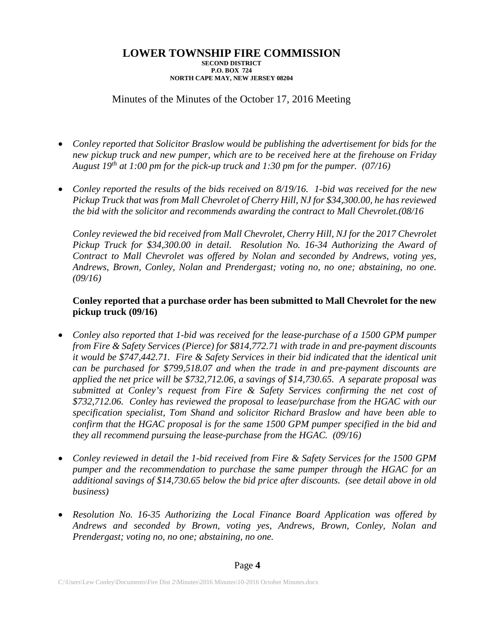# Minutes of the Minutes of the October 17, 2016 Meeting

- *Conley reported that Solicitor Braslow would be publishing the advertisement for bids for the new pickup truck and new pumper, which are to be received here at the firehouse on Friday August 19th at 1:00 pm for the pick-up truck and 1:30 pm for the pumper. (07/16)*
- *Conley reported the results of the bids received on 8/19/16. 1-bid was received for the new Pickup Truck that was from Mall Chevrolet of Cherry Hill, NJ for \$34,300.00, he has reviewed the bid with the solicitor and recommends awarding the contract to Mall Chevrolet.(08/16*

*Conley reviewed the bid received from Mall Chevrolet, Cherry Hill, NJ for the 2017 Chevrolet Pickup Truck for \$34,300.00 in detail. Resolution No. 16-34 Authorizing the Award of Contract to Mall Chevrolet was offered by Nolan and seconded by Andrews, voting yes, Andrews, Brown, Conley, Nolan and Prendergast; voting no, no one; abstaining, no one. (09/16)*

## **Conley reported that a purchase order has been submitted to Mall Chevrolet for the new pickup truck (09/16)**

- *Conley also reported that 1-bid was received for the lease-purchase of a 1500 GPM pumper from Fire & Safety Services (Pierce) for \$814,772.71 with trade in and pre-payment discounts it would be \$747,442.71. Fire & Safety Services in their bid indicated that the identical unit can be purchased for \$799,518.07 and when the trade in and pre-payment discounts are applied the net price will be \$732,712.06, a savings of \$14,730.65. A separate proposal was submitted at Conley's request from Fire & Safety Services confirming the net cost of \$732,712.06. Conley has reviewed the proposal to lease/purchase from the HGAC with our specification specialist, Tom Shand and solicitor Richard Braslow and have been able to confirm that the HGAC proposal is for the same 1500 GPM pumper specified in the bid and they all recommend pursuing the lease-purchase from the HGAC. (09/16)*
- *Conley reviewed in detail the 1-bid received from Fire & Safety Services for the 1500 GPM pumper and the recommendation to purchase the same pumper through the HGAC for an additional savings of \$14,730.65 below the bid price after discounts. (see detail above in old business)*
- *Resolution No. 16-35 Authorizing the Local Finance Board Application was offered by Andrews and seconded by Brown, voting yes, Andrews, Brown, Conley, Nolan and Prendergast; voting no, no one; abstaining, no one.*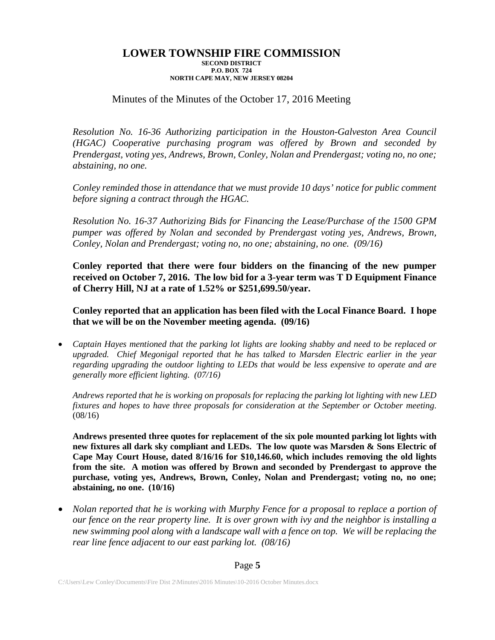# Minutes of the Minutes of the October 17, 2016 Meeting

*Resolution No. 16-36 Authorizing participation in the Houston-Galveston Area Council (HGAC) Cooperative purchasing program was offered by Brown and seconded by Prendergast, voting yes, Andrews, Brown, Conley, Nolan and Prendergast; voting no, no one; abstaining, no one.*

*Conley reminded those in attendance that we must provide 10 days' notice for public comment before signing a contract through the HGAC.* 

*Resolution No. 16-37 Authorizing Bids for Financing the Lease/Purchase of the 1500 GPM pumper was offered by Nolan and seconded by Prendergast voting yes, Andrews, Brown, Conley, Nolan and Prendergast; voting no, no one; abstaining, no one. (09/16)*

**Conley reported that there were four bidders on the financing of the new pumper received on October 7, 2016. The low bid for a 3-year term was T D Equipment Finance of Cherry Hill, NJ at a rate of 1.52% or \$251,699.50/year.** 

**Conley reported that an application has been filed with the Local Finance Board. I hope that we will be on the November meeting agenda. (09/16)**

• *Captain Hayes mentioned that the parking lot lights are looking shabby and need to be replaced or upgraded. Chief Megonigal reported that he has talked to Marsden Electric earlier in the year regarding upgrading the outdoor lighting to LEDs that would be less expensive to operate and are generally more efficient lighting. (07/16)*

*Andrews reported that he is working on proposals for replacing the parking lot lighting with new LED fixtures and hopes to have three proposals for consideration at the September or October meeting*. (08/16)

**Andrews presented three quotes for replacement of the six pole mounted parking lot lights with new fixtures all dark sky compliant and LEDs. The low quote was Marsden & Sons Electric of Cape May Court House, dated 8/16/16 for \$10,146.60, which includes removing the old lights from the site. A motion was offered by Brown and seconded by Prendergast to approve the purchase, voting yes, Andrews, Brown, Conley, Nolan and Prendergast; voting no, no one; abstaining, no one. (10/16)**

• *Nolan reported that he is working with Murphy Fence for a proposal to replace a portion of our fence on the rear property line. It is over grown with ivy and the neighbor is installing a new swimming pool along with a landscape wall with a fence on top. We will be replacing the rear line fence adjacent to our east parking lot. (08/16)*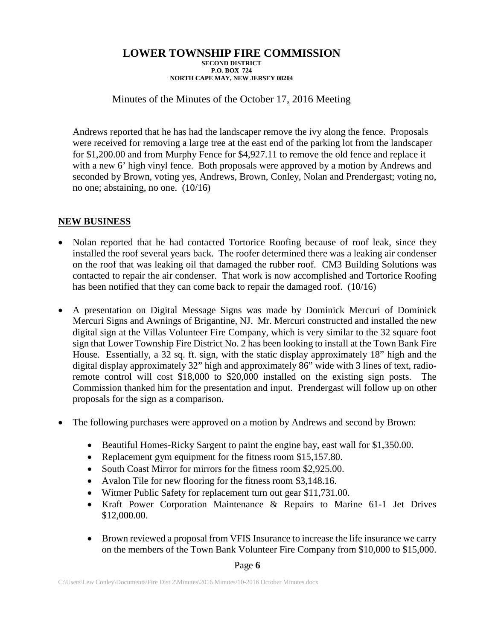Minutes of the Minutes of the October 17, 2016 Meeting

Andrews reported that he has had the landscaper remove the ivy along the fence. Proposals were received for removing a large tree at the east end of the parking lot from the landscaper for \$1,200.00 and from Murphy Fence for \$4,927.11 to remove the old fence and replace it with a new 6' high vinyl fence. Both proposals were approved by a motion by Andrews and seconded by Brown, voting yes, Andrews, Brown, Conley, Nolan and Prendergast; voting no, no one; abstaining, no one. (10/16)

# **NEW BUSINESS**

- Nolan reported that he had contacted Tortorice Roofing because of roof leak, since they installed the roof several years back. The roofer determined there was a leaking air condenser on the roof that was leaking oil that damaged the rubber roof. CM3 Building Solutions was contacted to repair the air condenser. That work is now accomplished and Tortorice Roofing has been notified that they can come back to repair the damaged roof. (10/16)
- A presentation on Digital Message Signs was made by Dominick Mercuri of Dominick Mercuri Signs and Awnings of Brigantine, NJ. Mr. Mercuri constructed and installed the new digital sign at the Villas Volunteer Fire Company, which is very similar to the 32 square foot sign that Lower Township Fire District No. 2 has been looking to install at the Town Bank Fire House. Essentially, a 32 sq. ft. sign, with the static display approximately 18" high and the digital display approximately 32" high and approximately 86" wide with 3 lines of text, radioremote control will cost \$18,000 to \$20,000 installed on the existing sign posts. The Commission thanked him for the presentation and input. Prendergast will follow up on other proposals for the sign as a comparison.
- The following purchases were approved on a motion by Andrews and second by Brown:
	- Beautiful Homes-Ricky Sargent to paint the engine bay, east wall for \$1,350.00.
	- Replacement gym equipment for the fitness room \$15,157.80.
	- South Coast Mirror for mirrors for the fitness room \$2,925.00.
	- Avalon Tile for new flooring for the fitness room \$3,148.16.
	- Witmer Public Safety for replacement turn out gear \$11,731.00.
	- Kraft Power Corporation Maintenance & Repairs to Marine 61-1 Jet Drives \$12,000.00.
	- Brown reviewed a proposal from VFIS Insurance to increase the life insurance we carry on the members of the Town Bank Volunteer Fire Company from \$10,000 to \$15,000.